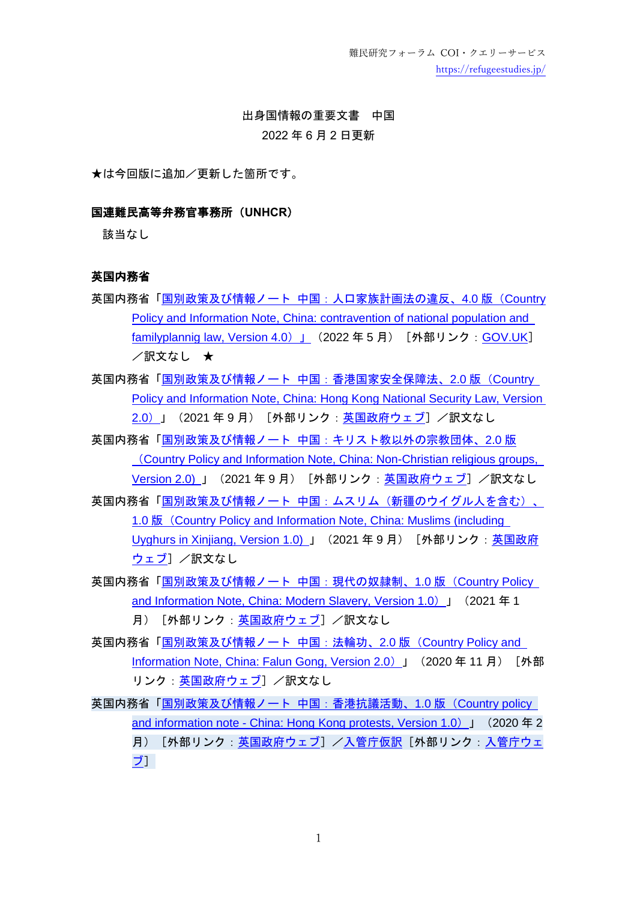難民研究フォーラム COI・クエリーサービス <https://refugeestudies.jp/>

# 出身国情報の重要文書 中国 2022 年 6 月 2 日更新

★は今回版に追加/更新した箇所です。

### 国連難民高等弁務官事務所(**UNHCR**)

該当なし

### 英国内務省

- 英国内務省「国別政策及び情報ノート [中国:人口家族計画法の違反、](https://www.gov.uk/government/publications/china-country-policy-and-information-notes/country-policy-and-information-note-contravention-of-the-population-and-family-planning-law-china-may-2022-accessible)4.0 版 (Countrv [Policy and Information Note, China: contravention of national population and](https://www.gov.uk/government/publications/china-country-policy-and-information-notes/country-policy-and-information-note-contravention-of-the-population-and-family-planning-law-china-may-2022-accessible)  [familyplannig law, Version 4.0](https://www.gov.uk/government/publications/china-country-policy-and-information-notes/country-policy-and-information-note-contravention-of-the-population-and-family-planning-law-china-may-2022-accessible))」 (2022年5月) [外部リンク: [GOV.UK](https://www.gov.uk/government/collections/country-policy-and-information-notes)] /訳文なし ★
- 英国内務省「国別政策及び情報ノート [中国:香港国家安全保障法、](https://assets.publishing.service.gov.uk/government/uploads/system/uploads/attachment_data/file/1021480/China_-_Hong_Kong_National_Security_Law_-_CPIN_-_V2.0.pdf)2.0 版(Country [Policy and Information Note, China: Hong Kong National Security Law, Version](https://assets.publishing.service.gov.uk/government/uploads/system/uploads/attachment_data/file/1021480/China_-_Hong_Kong_National_Security_Law_-_CPIN_-_V2.0.pdf)  [2.0](https://assets.publishing.service.gov.uk/government/uploads/system/uploads/attachment_data/file/1021480/China_-_Hong_Kong_National_Security_Law_-_CPIN_-_V2.0.pdf))」 (2021年9月) [外部リンク[:英国政府ウェブ\]](https://www.gov.uk/government/collections/country-policy-and-information-notes) /訳文なし
- 英国内務省「国別政策及び情報ノート [中国:キリスト教以外の宗教団体、](https://assets.publishing.service.gov.uk/government/uploads/system/uploads/attachment_data/file/1007296/China-_Non_Christian_religious_groups_-_V2.0__July_2021.pdf)2.0 版 ([Country Policy and Information Note, China: Non-Christian religious groups,](https://assets.publishing.service.gov.uk/government/uploads/system/uploads/attachment_data/file/1007296/China-_Non_Christian_religious_groups_-_V2.0__July_2021.pdf)  [Version 2.0\)](https://assets.publishing.service.gov.uk/government/uploads/system/uploads/attachment_data/file/1007296/China-_Non_Christian_religious_groups_-_V2.0__July_2021.pdf) 」 (2021年9月) [外部リンク[:英国政府ウェブ\]](https://www.gov.uk/government/collections/country-policy-and-information-notes) /訳文なし
- 英国内務省「国別政策及び情報ノート [中国:ムスリム\(新疆のウイグル人を含む\)、](https://assets.publishing.service.gov.uk/government/uploads/system/uploads/attachment_data/file/1012814/China_-_Muslims_-_CPIN_-_v1.0.pdf) 1.0 版([Country Policy and Information Note, China: Muslims \(including](https://assets.publishing.service.gov.uk/government/uploads/system/uploads/attachment_data/file/1012814/China_-_Muslims_-_CPIN_-_v1.0.pdf)  [Uyghurs in Xinjiang, Version 1.0\)](https://assets.publishing.service.gov.uk/government/uploads/system/uploads/attachment_data/file/1012814/China_-_Muslims_-_CPIN_-_v1.0.pdf) 」 (2021年9月) [外部リンク[:英国政府](https://www.gov.uk/government/collections/country-policy-and-information-notes) [ウェブ\]](https://www.gov.uk/government/collections/country-policy-and-information-notes) /訳文なし
- 英国内務省[「国別政策及び情報ノート](https://assets.publishing.service.gov.uk/government/uploads/system/uploads/attachment_data/file/951682/China_-_Modern_slavery-_CPIN_-_v1.0_January_2021.pdf) 中国:現代の奴隷制、1.0 版 (Country Policy [and Information Note, China: Modern Slavery, Version 1.0](https://assets.publishing.service.gov.uk/government/uploads/system/uploads/attachment_data/file/951682/China_-_Modern_slavery-_CPIN_-_v1.0_January_2021.pdf))」(2021 年 1 月) [外部リンク[:英国政府ウェブ\]](https://www.gov.uk/government/collections/country-policy-and-information-notes) /訳文なし
- 英国内務省[「国別政策及び情報ノート](https://assets.publishing.service.gov.uk/government/uploads/system/uploads/attachment_data/file/944238/China_-_Falun_Gong_-_CPIN_-_v2.0.pdf) 中国:法輪功、2.0 版(Country Policy and [Information Note, China: Falun Gong, Version 2.0](https://assets.publishing.service.gov.uk/government/uploads/system/uploads/attachment_data/file/944238/China_-_Falun_Gong_-_CPIN_-_v2.0.pdf)) 」 (2020年11月) [外部 リンク[:英国政府ウェブ\]](https://www.gov.uk/government/collections/country-policy-and-information-notes) /訳文なし
- 英国内務省[「国別政策及び情報ノート](https://assets.publishing.service.gov.uk/government/uploads/system/uploads/attachment_data/file/864856/China_-_Hong_Kong_Protests_-_CPIN_-_v1.0__-_Feb_2020_-_EXT.pdf) 中国:香港抗議活動、1.0 版 (Country policy and information note - China: Hong [Kong protests, Version 1.0](https://assets.publishing.service.gov.uk/government/uploads/system/uploads/attachment_data/file/864856/China_-_Hong_Kong_Protests_-_CPIN_-_v1.0__-_Feb_2020_-_EXT.pdf))」(2020 年 2 月)[外部リンク[:英国政府ウェブ\]](https://www.gov.uk/government/collections/country-policy-and-information-notes)[/入管庁仮訳\[](https://www.moj.go.jp/isa/content/930005580.pdf)外部リンク[:入管庁ウェ](https://www.moj.go.jp/isa/publications/materials/nyuukokukanri03_00045.html) [ブ\]](https://www.moj.go.jp/isa/publications/materials/nyuukokukanri03_00045.html)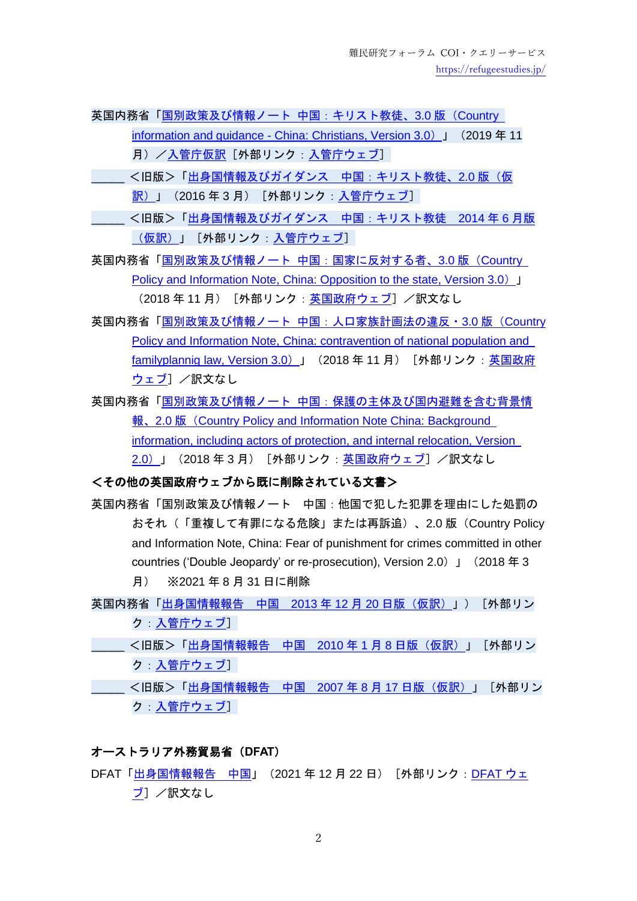英国内務省[「国別政策及び情報ノート](https://assets.publishing.service.gov.uk/government/uploads/system/uploads/attachment_data/file/848830/China_-_Christians_-_CPIN_-_v3.0__November_2019_.pdf) 中国:キリスト教徒、3.0 版 (Country information and guidance - [China: Christians, Version 3.0](https://assets.publishing.service.gov.uk/government/uploads/system/uploads/attachment_data/file/848830/China_-_Christians_-_CPIN_-_v3.0__November_2019_.pdf))」(2019 年 11 月)[/入管庁仮訳\[](https://www.moj.go.jp/isa/content/930005577.pdf)外部リンク[:入管庁ウェブ\]](https://www.moj.go.jp/isa/publications/materials/nyuukokukanri03_00045.html)

- \_\_\_\_\_ <旧版>[「出身国情報及びガイダンス](https://www.moj.go.jp/isa/content/930003244.pdf) 中国:キリスト教徒、2.0 版(仮 <u>訳)</u>」(2016 年 3 月)[外部リンク[:入管庁ウェブ\]](https://www.moj.go.jp/isa/publications/materials/nyuukokukanri03_00045.html)
- \_\_\_\_\_ <旧版>[「出身国情報及びガイダンス](https://www.moj.go.jp/isa/content/930003162.pdf) 中国:キリスト教徒 2014 年 6 月版 [\(仮訳\)」](https://www.moj.go.jp/isa/content/930003162.pdf)[外部リンク[:入管庁ウェブ\]](https://www.moj.go.jp/isa/publications/materials/nyuukokukanri03_00045.html)

英国内務省「国別政策及び情報ノート [中国:国家に反対する者、](https://assets.publishing.service.gov.uk/government/uploads/system/uploads/attachment_data/file/762931/China_-_Oppn_to_the_State_-_CPIN_-_v3.0__Dec_2018__.pdf)3.0 版(Country [Policy and Information Note, China: Opposition to the state, Version 3.0](https://assets.publishing.service.gov.uk/government/uploads/system/uploads/attachment_data/file/762931/China_-_Oppn_to_the_State_-_CPIN_-_v3.0__Dec_2018__.pdf)) 」 (2018年11月) [外部リンク[:英国政府ウェブ\]](https://www.gov.uk/government/collections/country-policy-and-information-notes) /訳文なし

- 英国内務省「国別政策及び情報ノート [中国:人口家族計画法の違反・](https://assets.publishing.service.gov.uk/government/uploads/system/uploads/attachment_data/file/755345/China_-_Family_Planning_-_CPIN_-_v3.0_.pdf)3.0 版 (Country [Policy and Information Note, China: contravention of national population and](https://assets.publishing.service.gov.uk/government/uploads/system/uploads/attachment_data/file/755345/China_-_Family_Planning_-_CPIN_-_v3.0_.pdf)  [familyplannig law, Version 3.0](https://assets.publishing.service.gov.uk/government/uploads/system/uploads/attachment_data/file/755345/China_-_Family_Planning_-_CPIN_-_v3.0_.pdf)) 」 (2018年11月) [外部リンク[:英国政府](https://www.gov.uk/government/collections/country-policy-and-information-notes) [ウェブ\]](https://www.gov.uk/government/collections/country-policy-and-information-notes) /訳文なし
- 英国内務省「国別政策及び情報ノート [中国:保護の主体及び国内避難を含む背景情](https://assets.publishing.service.gov.uk/government/uploads/system/uploads/attachment_data/file/686072/China_-_Background_-_CPIN_-_v2.0_March_2018_.pdf) 報、2.0 版 (Country Policy and Information Note China: Background [information, including actors of protection, and internal relocation, Version](https://assets.publishing.service.gov.uk/government/uploads/system/uploads/attachment_data/file/686072/China_-_Background_-_CPIN_-_v2.0_March_2018_.pdf)  <u>[2.0](https://assets.publishing.service.gov.uk/government/uploads/system/uploads/attachment_data/file/686072/China_-_Background_-_CPIN_-_v2.0_March_2018_.pdf))</u>」(2018 年 3 月)[外部リンク:<u>英国政府ウェブ</u>]/訳文なし

## <その他の英国政府ウェブから既に削除されている文書>

- 英国内務省「国別政策及び情報ノート 中国:他国で犯した犯罪を理由にした処罰の おそれ(「重複して有罪になる危険」または再訴追)、2.0 版(Country Policy and Information Note, China: Fear of punishment for crimes committed in other countries ('Double Jeopardy' or re-prosecution), Version 2.0)」(2018 年 3 月) ※2021 年 8 月 31 日に削除
- 英国内務省[「出身国情報報告](https://www.moj.go.jp/isa/content/930003111.pdf) 中国 2013年12月20日版(仮訳)」)[外部リン ク[:入管庁ウェブ\]](https://www.moj.go.jp/isa/publications/materials/nyuukokukanri03_00045.html)
- <旧版>[「出身国情報報告](https://www.moj.go.jp/isa/content/930002737.pdf) 中国 2010 年1月8日版(仮訳)」[外部リン ク[:入管庁ウェブ\]](https://www.moj.go.jp/isa/publications/materials/nyuukokukanri03_00045.html)
- <旧版>[「出身国情報報告](https://www.moj.go.jp/isa/content/930002662.pdf) 中国 2007 年 8 月 17 日版(仮訳)」「外部リン ク[:入管庁ウェブ\]](https://www.moj.go.jp/isa/publications/materials/nyuukokukanri03_00045.html)

### オーストラリア外務貿易省(**DFAT**)

DFAT[「出身国情報報告](https://www.dfat.gov.au/sites/default/files/country-information-report-china-22122021.pdf) 中国」 (2021 年 12 月 22 日) [外部リンク: [DFAT](https://www.dfat.gov.au/about-us/publications/Pages/country-information-reports) ウェ [ブ\]](https://www.dfat.gov.au/about-us/publications/Pages/country-information-reports) /訳文なし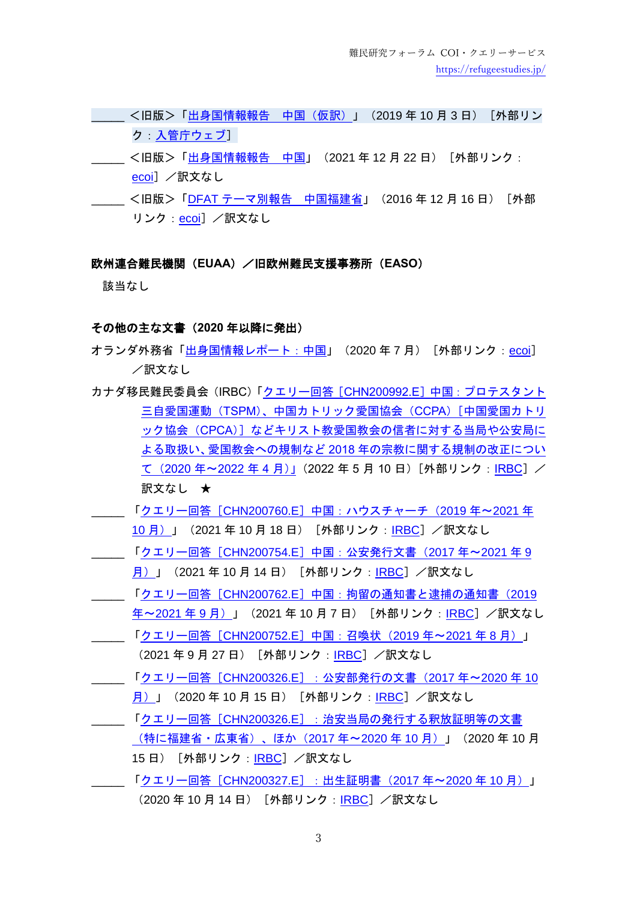- ———<旧版>[「出身国情報報告](https://www.moj.go.jp/isa/content/930005581.pdf) 中国(仮訳)」(2019 年 10 月 3 日)[外部リン ク[:入管庁ウェブ\]](https://www.moj.go.jp/isa/publications/materials/nyuukokukanri03_00124.html)
- \_\_\_ <旧版>[「出身国情報報告](https://www.ecoi.net/en/file/local/1424365/4792_1518594924_country-information-report-china.pdf) 中国」(2021 年 12 月 22 日)[外部リンク: [ecoi](https://www.ecoi.net/)l /訳文なし
- \_\_\_\_\_ <旧版>「DFAT [テーマ別報告](https://www.ecoi.net/en/file/local/1424382/4792_1518595503_country-information-report-china-fujian-thematic.pdf) 中国福建省」(2016 年 12 月 16 日)[外部 リンク: [ecoi](https://www.ecoi.net/)] /訳文なし

### 欧州連合難民機関(**EUAA**)/旧欧州難民支援事務所(**EASO**)

該当なし

#### その他の主な文書(**2020** 年以降に発出)

- オランダ外務省[「出身国情報レポート:中国」](https://www.rijksoverheid.nl/binaries/rijksoverheid/documenten/ambtsberichten/2020/07/01/algemeen-ambtsbericht-china-juli-2020/AAB%20China%2027%20juli%202020.pdf)(2020 年 7 月)[外部リンク:[ecoi](https://www.ecoi.net/)] /訳文なし
- カナダ移民難民委員会 (IRBC)「クエリー回答 [CHN200992.E] 中国: プロテスタント 三自愛国運動(TSPM[\)、中国カトリック愛国協会\(](https://irb-cisr.gc.ca/en/country-information/rir/Pages/index.aspx?doc=458597&pls=1)CCPA)[中国愛国カトリ ック協会(CPCA[\)\]などキリスト教愛国教会の信者に対する当局や公安局に](https://irb-cisr.gc.ca/en/country-information/rir/Pages/index.aspx?doc=458597&pls=1) よる取扱い、愛国教会への規制など 2018 [年の宗教に関する規制の改正につい](https://irb-cisr.gc.ca/en/country-information/rir/Pages/index.aspx?doc=458597&pls=1) て([2020](https://irb-cisr.gc.ca/en/country-information/rir/Pages/index.aspx?doc=458597&pls=1) 年~2022 年 4 月)」(2022 年 5 月 10 日)[外部リンク:[IRBC](https://irb-cisr.gc.ca/en/country-information/Pages/index.aspx)]/ 訳文なし ★
- \_\_\_\_\_ 「クエリー回答[CHN200760.E[\]中国:ハウスチャーチ\(](https://irb-cisr.gc.ca/en/country-information/rir/Pages/index.aspx?doc=458462&pls=1)2019 年~2021 年 10 月) 」 (2021 年 10 月 18 日) [外部リンク: [IRBC](https://irb-cisr.gc.ca/en/Pages/index.aspx)]/訳文なし
- \_\_\_\_\_ 「クエリー回答[CHN200754.E[\]中国:公安発行文書\(](https://irb-cisr.gc.ca/en/country-information/rir/Pages/index.aspx?doc=458457&pls=1)2017 年~2021 年 9 [月\)」](https://irb-cisr.gc.ca/en/country-information/rir/Pages/index.aspx?doc=458457&pls=1) (2021年10月14日) [外部リンク:[IRBC](https://irb-cisr.gc.ca/en/Pages/index.aspx)] /訳文なし
- \_\_\_\_\_ 「クエリー回答[CHN200762.E[\]中国:拘留の通知書と逮捕の通知書\(](https://irb-cisr.gc.ca/en/country-information/rir/Pages/index.aspx?doc=458443&pls=1)2019 年~[2021](https://irb-cisr.gc.ca/en/country-information/rir/Pages/index.aspx?doc=458443&pls=1)年9月)」 (2021年10月7日) [外部リンク: [IRBC](https://irb-cisr.gc.ca/en/Pages/index.aspx)] /訳文なし \_\_\_\_\_ 「クエリー回答[CHN200752.E[\]中国:召喚状\(](https://irb-cisr.gc.ca/en/country-information/rir/Pages/index.aspx?doc=458460&pls=1)2019 年~2021 年 8 月)」
- (2021年9月27日)[外部リンク:[IRBC](https://irb-cisr.gc.ca/en/Pages/index.aspx)]/訳文なし
- \_\_\_\_\_ 「クエリー回答[CHN200326.E[\]:公安部発行の文書\(](https://www.ecoi.net/en/document/2039961.html)2017 年~2020 年 10 月) 」 (2020年10月15日) [外部リンク:[IRBC](https://irb-cisr.gc.ca/en/Pages/index.aspx)] /訳文なし
- \_\_\_\_\_ 「クエリー回答[CHN200326.E[\]:治安当局の発行する釈放証明等の文書](https://irb-cisr.gc.ca/en/country-information/rir/Pages/index.aspx?doc=458219&pls=1) [\(特に福建省・広東省\)、ほか\(](https://irb-cisr.gc.ca/en/country-information/rir/Pages/index.aspx?doc=458219&pls=1)2017 年~2020 年 10 月)」(2020 年 10 月 15日) [外部リンク: [IRBC](https://irb-cisr.gc.ca/en/Pages/index.aspx)] /訳文なし
- \_\_\_\_\_ 「クエリー回答[CHN200327.E[\]:出生証明書\(](https://irb-cisr.gc.ca/en/country-information/rir/Pages/index.aspx?doc=458201&pls=1)2017 年~2020 年 10 月)」 (2020年10月14日)[外部リンク:[IRBC](https://irb-cisr.gc.ca/en/Pages/index.aspx)]/訳文なし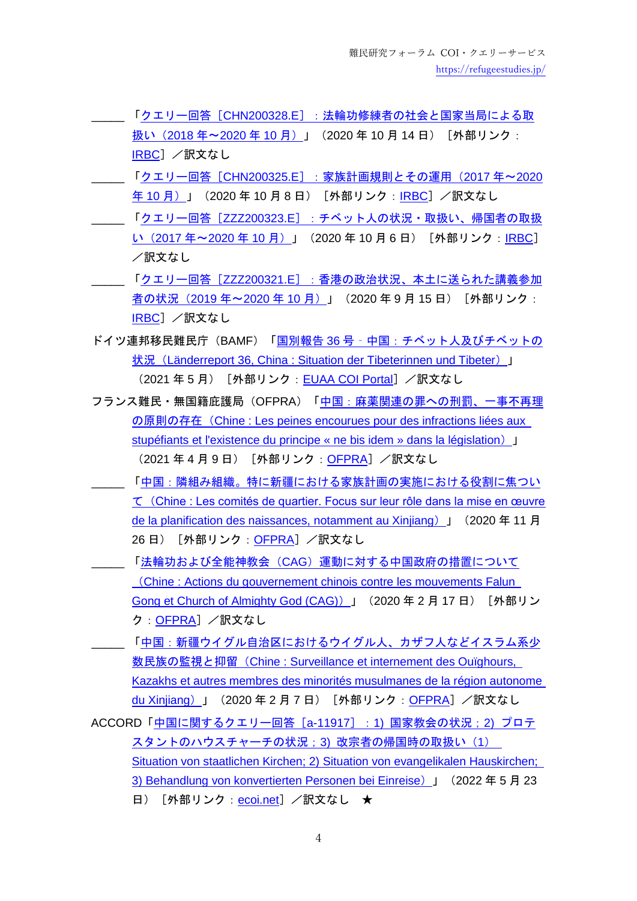- \_\_\_\_\_ 「クエリー回答[CHN200328.E[\]:法輪功修練者の社会と国家当局による取](https://irb-cisr.gc.ca/en/country-information/rir/Pages/index.aspx?doc=458221&pls=1) 扱い (2018年~2020年10月)」 (2020年10月14日) [外部リンク: [IRBC](https://irb-cisr.gc.ca/en/Pages/index.aspx)] /訳文なし
- \_\_\_\_\_ 「クエリー回答[CHN200325.E[\]:家族計画規則とその運用\(](https://irb-cisr.gc.ca/en/country-information/rir/Pages/index.aspx?doc=458196&pls=1)2017 年~2020 年10[月\)」](https://irb-cisr.gc.ca/en/country-information/rir/Pages/index.aspx?doc=458196&pls=1) (2020年10月8日) [外部リンク: [IRBC](https://irb-cisr.gc.ca/en/Pages/index.aspx)] /訳文なし
- \_\_\_\_\_ 「クエリー回答[ZZZ200323.E[\]:チベット人の状況・取扱い、帰国者の取扱](https://irb-cisr.gc.ca/en/country-information/rir/Pages/index.aspx?doc=458194&pls=1) い (2017 年~2020 年 10 月) 」 (2020 年 10 月 6 日) [外部リンク : [IRBC](https://irb-cisr.gc.ca/en/Pages/index.aspx)] /訳文なし
- \_\_\_\_\_ 「クエリー回答[ZZZ200321.E[\]:香港の政治状況、本土に送られた講義参加](https://irb-cisr.gc.ca/en/country-information/rir/Pages/index.aspx?doc=458180&pls=1) 者の状況 (2019年~2020年10月)」 (2020年9月15日) [外部リンク: [IRBC](https://irb-cisr.gc.ca/en/Pages/index.aspx)] /訳文なし
- ドイツ連邦移民難民庁(BAMF)「国別報告 36 号‐[中国:チベット人及びチベットの](https://coi.euaa.europa.eu/administration/germany/PLib/DE_BAMF_Laenderreport_36_China_May-2021.pdf) 状況 ([Länderreport 36, China : Situation der Tibeterinnen und Tibeter](https://coi.euaa.europa.eu/administration/germany/PLib/DE_BAMF_Laenderreport_36_China_May-2021.pdf)) 」 (2021年5月) [外部リンク: [EUAA COI Portal](https://coi.euaa.europa.eu/Pages/home.aspx)] /訳文なし
- フランス難民・無国籍庇護局(OFPRA)[「中国:麻薬関連の罪への刑罰、一事不再理](https://www.ofpra.gouv.fr/sites/default/files/atoms/files/2104_chn_trafic_de_drogues_152433_web.pdf) の原則の存在([Chine : Les peines encourues pour des infractions liées aux](https://www.ofpra.gouv.fr/sites/default/files/atoms/files/2104_chn_trafic_de_drogues_152433_web.pdf)  [stupéfiants et l'existence du principe « ne bis idem » dans la législation](https://www.ofpra.gouv.fr/sites/default/files/atoms/files/2104_chn_trafic_de_drogues_152433_web.pdf))  $\blacksquare$ (2021 年 4 月 9 日)[外部リンク:<u>[OFPRA](https://www.ofpra.gouv.fr/fr/l-ofpra/nos-publications/les-publications-de-l-ofpra)</u>]/訳文なし
- \_\_\_\_\_ [「中国:隣組み組織。特に新疆における家族計画の実施における役割に焦つい](https://www.ofpra.gouv.fr/sites/default/files/atoms/files/2011_chn_comites_de_quartier_xinjiang_web_0.pdf) て([Chine : Les comités de quartier. Focus sur leur rôle dans la mise en œuvre](https://www.ofpra.gouv.fr/sites/default/files/atoms/files/2011_chn_comites_de_quartier_xinjiang_web_0.pdf)  [de la planification des naissances, notamment au Xinjiang](https://www.ofpra.gouv.fr/sites/default/files/atoms/files/2011_chn_comites_de_quartier_xinjiang_web_0.pdf)) 」 (2020 年 11 月 26日) [外部リンク: [OFPRA](https://www.ofpra.gouv.fr/fr/l-ofpra/nos-publications/les-publications-de-l-ofpra)] /訳文なし
- \_\_\_\_\_ 「法輪功および全能神教会(CAG[\)運動に対する中国政府の措置について](https://www.ofpra.gouv.fr/sites/default/files/atoms/files/2002_chn_falungong_almightygod.pdf) (Chine : Actions [du gouvernement chinois contre les mouvements Falun](https://www.ofpra.gouv.fr/sites/default/files/atoms/files/2002_chn_falungong_almightygod.pdf)  [Gong et Church of Almighty God \(CAG\)](https://www.ofpra.gouv.fr/sites/default/files/atoms/files/2002_chn_falungong_almightygod.pdf))」(2020 年 2 月 17 日)[外部リン ク: [OFPRA](https://www.ofpra.gouv.fr/fr/l-ofpra/nos-publications/les-publications-de-l-ofpra)] /訳文なし
- [「中国:新疆ウイグル自治区におけるウイグル人、カザフ人などイスラム系少](https://www.ofpra.gouv.fr/sites/default/files/atoms/files/2002_chn_xijiang_musulmans.pdf) 数民族の監視と抑留([Chine : Surveillance et internement des Ouïghours,](https://www.ofpra.gouv.fr/sites/default/files/atoms/files/2002_chn_xijiang_musulmans.pdf)  [Kazakhs et autres membres des minorités musulmanes de la région autonome](https://www.ofpra.gouv.fr/sites/default/files/atoms/files/2002_chn_xijiang_musulmans.pdf)  [du Xinjiang](https://www.ofpra.gouv.fr/sites/default/files/atoms/files/2002_chn_xijiang_musulmans.pdf)) 」 (2020年2月7日) [外部リンク: [OFPRA](https://www.ofpra.gouv.fr/fr/l-ofpra/nos-publications/les-publications-de-l-ofpra)] /訳文なし
- ACCORD「中国に関するクエリー回答 [a-11917]:1) 国家教会の状況:2) プロテ [スタントのハウスチャーチの状況;](https://www.ecoi.net/en/document/2073417.html)3) 改宗者の帰国時の取扱い(1) [Situation von staatlichen Kirchen; 2\) Situation von evangelikalen Hauskirchen;](https://www.ecoi.net/en/document/2073417.html)  [3\) Behandlung von konvertierten Personen bei Einreise](https://www.ecoi.net/en/document/2073417.html)) 」 (2022年5月23 日) [外部リンク: [ecoi.net](https://www.ecoi.net/)] /訳文なし ★